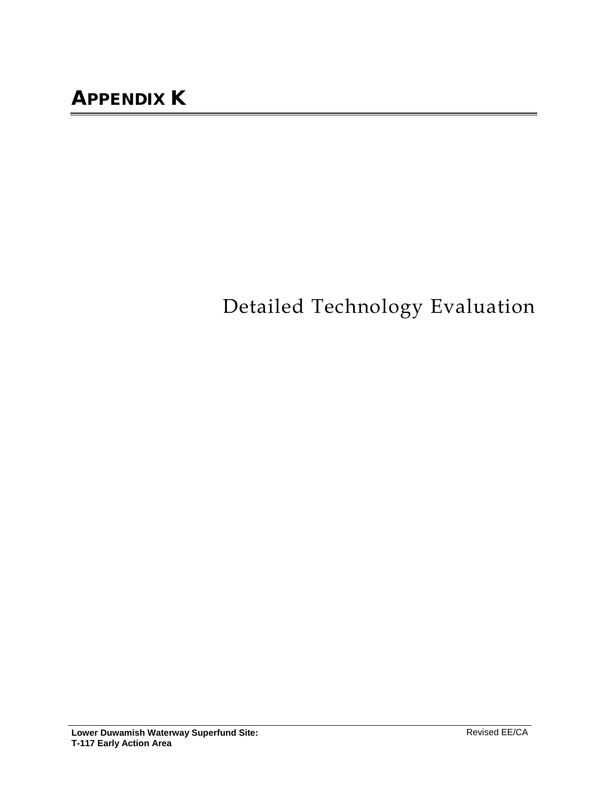# Detailed Technology Evaluation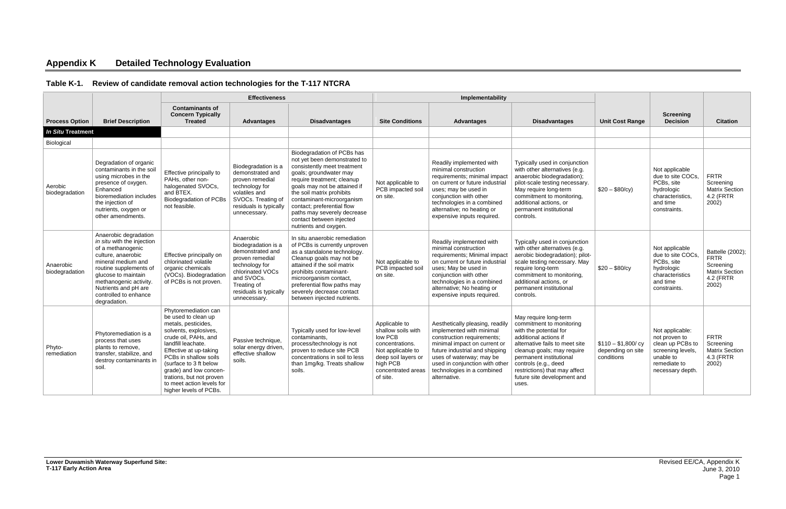## **Appendix K Detailed Technology Evaluation**

### **Table K-1. Review of candidate removal action technologies for the T-117 NTCRA**

|                             |                                                                                                                                                                                                                                                                  |                                                                                                                                                                                                                                                                                                                                     | <b>Effectiveness</b>                                                                                                                                                                 |                                                                                                                                                                                                                                                                                                                                                               |                                                                                                                                                             | Implementability                                                                                                                                                                                                                                                        |                                                                                                                                                                                                                                                                                                  |                                                         |                                                                                                                            |                                                                                             |
|-----------------------------|------------------------------------------------------------------------------------------------------------------------------------------------------------------------------------------------------------------------------------------------------------------|-------------------------------------------------------------------------------------------------------------------------------------------------------------------------------------------------------------------------------------------------------------------------------------------------------------------------------------|--------------------------------------------------------------------------------------------------------------------------------------------------------------------------------------|---------------------------------------------------------------------------------------------------------------------------------------------------------------------------------------------------------------------------------------------------------------------------------------------------------------------------------------------------------------|-------------------------------------------------------------------------------------------------------------------------------------------------------------|-------------------------------------------------------------------------------------------------------------------------------------------------------------------------------------------------------------------------------------------------------------------------|--------------------------------------------------------------------------------------------------------------------------------------------------------------------------------------------------------------------------------------------------------------------------------------------------|---------------------------------------------------------|----------------------------------------------------------------------------------------------------------------------------|---------------------------------------------------------------------------------------------|
| <b>Process Option</b>       | <b>Brief Description</b>                                                                                                                                                                                                                                         | <b>Contaminants of</b><br><b>Concern Typically</b><br><b>Treated</b>                                                                                                                                                                                                                                                                | <b>Advantages</b>                                                                                                                                                                    | <b>Disadvantages</b>                                                                                                                                                                                                                                                                                                                                          | <b>Site Conditions</b>                                                                                                                                      | <b>Advantages</b>                                                                                                                                                                                                                                                       | <b>Disadvantages</b>                                                                                                                                                                                                                                                                             | <b>Unit Cost Range</b>                                  | <b>Screening</b><br><b>Decision</b>                                                                                        | <b>Citation</b>                                                                             |
| <b>In Situ Treatment</b>    |                                                                                                                                                                                                                                                                  |                                                                                                                                                                                                                                                                                                                                     |                                                                                                                                                                                      |                                                                                                                                                                                                                                                                                                                                                               |                                                                                                                                                             |                                                                                                                                                                                                                                                                         |                                                                                                                                                                                                                                                                                                  |                                                         |                                                                                                                            |                                                                                             |
| Biological                  |                                                                                                                                                                                                                                                                  |                                                                                                                                                                                                                                                                                                                                     |                                                                                                                                                                                      |                                                                                                                                                                                                                                                                                                                                                               |                                                                                                                                                             |                                                                                                                                                                                                                                                                         |                                                                                                                                                                                                                                                                                                  |                                                         |                                                                                                                            |                                                                                             |
| Aerobic<br>biodegradation   | Degradation of organic<br>contaminants in the soil<br>using microbes in the<br>presence of oxygen.<br>Enhanced<br>bioremediation includes<br>the injection of<br>nutrients, oxygen or<br>other amendments.                                                       | Effective principally to<br>PAHs, other non-<br>halogenated SVOCs,<br>and BTEX.<br><b>Biodegradation of PCBs</b><br>not feasible.                                                                                                                                                                                                   | Biodegradation is a<br>demonstrated and<br>proven remedial<br>technology for<br>volatiles and<br>SVOCs. Treating of<br>residuals is typically<br>unnecessary.                        | Biodegradation of PCBs has<br>not yet been demonstrated to<br>consistently meet treatment<br>goals; groundwater may<br>require treatment; cleanup<br>goals may not be attained if<br>the soil matrix prohibits<br>contaminant-microorganism<br>contact; preferential flow<br>paths may severely decrease<br>contact between injected<br>nutrients and oxygen. | Not applicable to<br>PCB impacted soil<br>on site.                                                                                                          | Readily implemented with<br>minimal construction<br>requirements; minimal impact<br>on current or future industrial<br>uses; may be used in<br>conjunction with other<br>technologies in a combined<br>alternative; no heating or<br>expensive inputs required.         | Typically used in conjunction<br>with other alternatives (e.g.<br>anaerobic biodegradation);<br>pilot-scale testing necessary.<br>May require long-term<br>commitment to monitoring.<br>additional actions, or<br>permanent institutional<br>controls.                                           | $$20 - $80/cy$$                                         | Not applicable<br>due to site COCs,<br>PCBs, site<br>hydrologic<br>characteristics.<br>and time<br>constraints.            | <b>FRTR</b><br>Screening<br><b>Matrix Section</b><br>4.2 (FRTR<br>2002)                     |
| Anaerobic<br>biodegradation | Anaerobic degradation<br>in situ with the injection<br>of a methanogenic<br>culture, anaerobic<br>mineral medium and<br>routine supplements of<br>glucose to maintain<br>methanogenic activity.<br>Nutrients and pH are<br>controlled to enhance<br>degradation. | Effective principally on<br>chlorinated volatile<br>organic chemicals<br>(VOCs). Biodegradation<br>of PCBs is not proven.                                                                                                                                                                                                           | Anaerobic<br>biodegradation is a<br>demonstrated and<br>proven remedial<br>technology for<br>chlorinated VOCs<br>and SVOCs.<br>Treating of<br>residuals is typically<br>unnecessary. | In situ anaerobic remediation<br>of PCBs is currently unproven<br>as a standalone technology.<br>Cleanup goals may not be<br>attained if the soil matrix<br>prohibits contaminant-<br>microorganism contact,<br>preferential flow paths may<br>severely decrease contact<br>between injected nutrients.                                                       | Not applicable to<br>PCB impacted soil<br>on site.                                                                                                          | Readily implemented with<br>minimal construction<br>requirements; Minimal impact<br>on current or future industrial<br>uses; May be used in<br>conjunction with other<br>technologies in a combined<br>alternative; No heating or<br>expensive inputs required.         | Typically used in conjunction<br>with other alternatives (e.g.<br>aerobic biodegradation); pilot-<br>scale testing necessary. May<br>require long-term<br>commitment to monitoring.<br>additional actions, or<br>permanent institutional<br>controls.                                            | $$20 - $80/cy$                                          | Not applicable<br>due to site COCs,<br>PCBs, site<br>hydrologic<br>characteristics<br>and time<br>constraints.             | Battelle (2002);<br><b>FRTR</b><br>Screening<br><b>Matrix Section</b><br>4.2 (FRTR<br>2002) |
| Phyto-<br>remediation       | Phytoremediation is a<br>process that uses<br>plants to remove,<br>transfer, stabilize, and<br>destroy contaminants in<br>soil.                                                                                                                                  | Phytoremediation can<br>be used to clean up<br>metals, pesticides,<br>solvents, explosives,<br>crude oil, PAHs, and<br>landfill leachate.<br>Effective at up-taking<br>PCBs in shallow soils<br>(surface to 3 ft below<br>grade) and low concen-<br>trations, but not proven<br>to meet action levels for<br>higher levels of PCBs. | Passive technique,<br>solar energy driven.<br>effective shallow<br>soils.                                                                                                            | Typically used for low-level<br>contaminants,<br>process/technology is not<br>proven to reduce site PCB<br>concentrations in soil to less<br>than 1mg/kg. Treats shallow<br>soils.                                                                                                                                                                            | Applicable to<br>shallow soils with<br>low PCB<br>concentrations.<br>Not applicable to<br>deep soil layers or<br>high PCB<br>concentrated areas<br>of site. | Aesthetically pleasing, readily<br>implemented with minimal<br>construction requirements;<br>minimal impact on current or<br>future industrial and shipping<br>uses of waterway; may be<br>used in conjunction with other<br>technologies in a combined<br>alternative. | May require long-term<br>commitment to monitoring<br>with the potential for<br>additional actions if<br>alternative fails to meet site<br>cleanup goals; may require<br>permanent institutional<br>controls (e.g., deed<br>restrictions) that may affect<br>future site development and<br>uses. | $$110 - $1,800$ / cy<br>depending on site<br>conditions | Not applicable:<br>not proven to<br>clean up PCBs to<br>screening levels,<br>unable to<br>remediate to<br>necessary depth. | <b>FRTR</b><br>Screening<br><b>Matrix Section</b><br>4.3 (FRTR<br>2002)                     |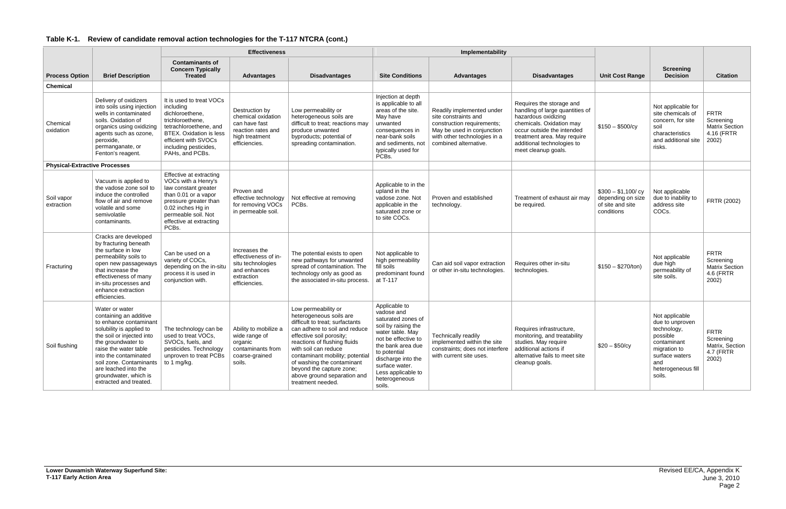|  |  |  | Table K-1. Review of candidate removal action technologies for the T-117 NTCRA (cont.) |
|--|--|--|----------------------------------------------------------------------------------------|
|--|--|--|----------------------------------------------------------------------------------------|

|                                      |                                                                                                                                                                                                                                                                                                           |                                                                                                                                                                                                              | <b>Effectiveness</b>                                                                                           |                                                                                                                                                                                                                                                                                                                                                         |                                                                                                                                                                                                                                                   | Implementability                                                                                                                                                       |                                                                                                                                                                                                                                  |                                                                           |                                                                                                                                                      |                                                                          |
|--------------------------------------|-----------------------------------------------------------------------------------------------------------------------------------------------------------------------------------------------------------------------------------------------------------------------------------------------------------|--------------------------------------------------------------------------------------------------------------------------------------------------------------------------------------------------------------|----------------------------------------------------------------------------------------------------------------|---------------------------------------------------------------------------------------------------------------------------------------------------------------------------------------------------------------------------------------------------------------------------------------------------------------------------------------------------------|---------------------------------------------------------------------------------------------------------------------------------------------------------------------------------------------------------------------------------------------------|------------------------------------------------------------------------------------------------------------------------------------------------------------------------|----------------------------------------------------------------------------------------------------------------------------------------------------------------------------------------------------------------------------------|---------------------------------------------------------------------------|------------------------------------------------------------------------------------------------------------------------------------------------------|--------------------------------------------------------------------------|
| <b>Process Option</b>                | <b>Brief Description</b>                                                                                                                                                                                                                                                                                  | <b>Contaminants of</b><br><b>Concern Typically</b><br><b>Treated</b>                                                                                                                                         | <b>Advantages</b>                                                                                              | <b>Disadvantages</b>                                                                                                                                                                                                                                                                                                                                    | <b>Site Conditions</b>                                                                                                                                                                                                                            | <b>Advantages</b>                                                                                                                                                      | <b>Disadvantages</b>                                                                                                                                                                                                             | <b>Unit Cost Range</b>                                                    | <b>Screening</b><br><b>Decision</b>                                                                                                                  | <b>Citation</b>                                                          |
| <b>Chemical</b>                      |                                                                                                                                                                                                                                                                                                           |                                                                                                                                                                                                              |                                                                                                                |                                                                                                                                                                                                                                                                                                                                                         |                                                                                                                                                                                                                                                   |                                                                                                                                                                        |                                                                                                                                                                                                                                  |                                                                           |                                                                                                                                                      |                                                                          |
| Chemical<br>oxidation                | Delivery of oxidizers<br>into soils using injection<br>wells in contaminated<br>soils. Oxidation of<br>organics using oxidizing<br>agents such as ozone,<br>peroxide,<br>permanganate, or<br>Fenton's reagent.                                                                                            | It is used to treat VOCs<br>including<br>dichloroethene,<br>trichloroethene,<br>tetrachloroethene, and<br><b>BTEX.</b> Oxidation is less<br>efficient with SVOCs<br>including pesticides,<br>PAHs, and PCBs. | Destruction by<br>chemical oxidation<br>can have fast<br>reaction rates and<br>high treatment<br>efficiencies. | Low permeability or<br>heterogeneous soils are<br>difficult to treat; reactions may<br>produce unwanted<br>byproducts; potential of<br>spreading contamination.                                                                                                                                                                                         | Injection at depth<br>is applicable to all<br>areas of the site.<br>May have<br>unwanted<br>consequences in<br>near-bank soils<br>and sediments, not<br>typically used for<br>PCBs.                                                               | Readily implemented under<br>site constraints and<br>construction requirements;<br>May be used in conjunction<br>with other technologies in a<br>combined alternative. | Requires the storage and<br>handling of large quantities of<br>hazardous oxidizing<br>chemicals. Oxidation may<br>occur outside the intended<br>treatment area. May require<br>additional technologies to<br>meet cleanup goals. | $$150 - $500/cy$                                                          | Not applicable for<br>site chemicals of<br>concern, for site<br>soil<br>characteristics<br>and additional site<br>risks.                             | <b>FRTR</b><br>Screening<br><b>Matrix Section</b><br>4.16 (FRTR<br>2002) |
| <b>Physical-Extractive Processes</b> |                                                                                                                                                                                                                                                                                                           |                                                                                                                                                                                                              |                                                                                                                |                                                                                                                                                                                                                                                                                                                                                         |                                                                                                                                                                                                                                                   |                                                                                                                                                                        |                                                                                                                                                                                                                                  |                                                                           |                                                                                                                                                      |                                                                          |
| Soil vapor<br>extraction             | Vacuum is applied to<br>the vadose zone soil to<br>induce the controlled<br>flow of air and remove<br>volatile and some<br>semivolatile<br>contaminants.                                                                                                                                                  | Effective at extracting<br>VOCs with a Henry's<br>law constant greater<br>than 0.01 or a vapor<br>pressure greater than<br>0.02 inches Hg in<br>permeable soil. Not<br>effective at extracting<br>PCBs.      | Proven and<br>effective technology<br>for removing VOCs<br>in permeable soil.                                  | Not effective at removing<br>PCBs.                                                                                                                                                                                                                                                                                                                      | Applicable to in the<br>upland in the<br>vadose zone. Not<br>applicable in the<br>saturated zone or<br>to site COCs.                                                                                                                              | Proven and established<br>technology.                                                                                                                                  | Treatment of exhaust air may<br>be required.                                                                                                                                                                                     | $$300 - $1,100/cy$<br>depending on size<br>of site and site<br>conditions | Not applicable<br>due to inability to<br>address site<br>COCs.                                                                                       | FRTR (2002)                                                              |
| Fracturing                           | Cracks are developed<br>by fracturing beneath<br>the surface in low<br>permeability soils to<br>open new passageways<br>that increase the<br>effectiveness of many<br>in-situ processes and<br>enhance extraction<br>efficiencies.                                                                        | Can be used on a<br>variety of COCs,<br>depending on the in-situ<br>process it is used in<br>conjunction with.                                                                                               | Increases the<br>effectiveness of in-<br>situ technologies<br>and enhances<br>extraction<br>efficiencies.      | The potential exists to open<br>new pathways for unwanted<br>spread of contamination. The<br>technology only as good as<br>the associated in-situ process.                                                                                                                                                                                              | Not applicable to<br>high permeability<br>fill soils<br>predominant found<br>at T-117                                                                                                                                                             | Can aid soil vapor extraction<br>or other in-situ technologies.                                                                                                        | Requires other in-situ<br>technologies.                                                                                                                                                                                          | $$150 - $270/ton)$                                                        | Not applicable<br>due high<br>permeability of<br>site soils.                                                                                         | <b>FRTR</b><br>Screening<br><b>Matrix Section</b><br>4.6 (FRTR<br>2002)  |
| Soil flushing                        | Water or water<br>containing an additive<br>to enhance contaminant<br>solubility is applied to<br>the soil or injected into<br>the groundwater to<br>raise the water table<br>into the contaminated<br>soil zone. Contaminants<br>are leached into the<br>groundwater, which is<br>extracted and treated. | The technology can be<br>used to treat VOCs,<br>SVOCs, fuels, and<br>pesticides. Technology<br>unproven to treat PCBs<br>to 1 mg/kg.                                                                         | Ability to mobilize a<br>wide range of<br>organic<br>contaminants from<br>coarse-grained<br>soils.             | Low permeability or<br>heterogeneous soils are<br>difficult to treat; surfactants<br>can adhere to soil and reduce<br>effective soil porosity;<br>reactions of flushing fluids<br>with soil can reduce<br>contaminant mobility; potential<br>of washing the contaminant<br>beyond the capture zone;<br>above ground separation and<br>treatment needed. | Applicable to<br>vadose and<br>saturated zones of<br>soil by raising the<br>water table. May<br>not be effective to<br>the bank area due<br>to potential<br>discharge into the<br>surface water.<br>Less applicable to<br>heterogeneous<br>soils. | <b>Technically readily</b><br>implemented within the site<br>constraints; does not interfere<br>with current site uses.                                                | Requires infrastructure,<br>monitoring, and treatability<br>studies. May require<br>additional actions if<br>alternative fails to meet site<br>cleanup goals.                                                                    | $$20 - $50/cy$                                                            | Not applicable<br>due to unproven<br>technology,<br>possible<br>contaminant<br>migration to<br>surface waters<br>and<br>heterogeneous fill<br>soils. | <b>FRTR</b><br>Screening<br>Matrix, Section<br>4.7 (FRTR<br>2002)        |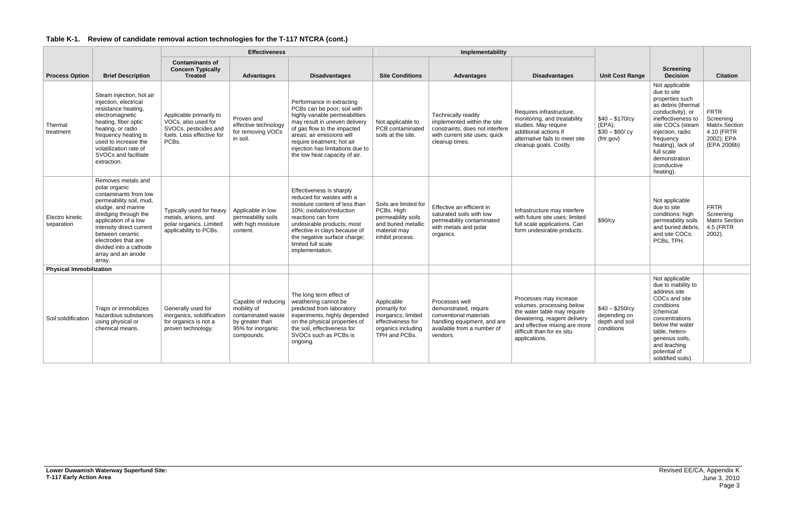|  | Table K-1. Review of candidate removal action technologies for the T-117 NTCRA (cont.) |
|--|----------------------------------------------------------------------------------------|
|--|----------------------------------------------------------------------------------------|

|                                |                                                                                                                                                                                                                                                                                               |                                                                                                               | <b>Effectiveness</b>                                                                                           |                                                                                                                                                                                                                                                                                            |                                                                                                                      | Implementability                                                                                                                           |                                                                                                                                                                                                    |                                                                 |                                                                                                                                                                                                                                                        |                                                                                              |
|--------------------------------|-----------------------------------------------------------------------------------------------------------------------------------------------------------------------------------------------------------------------------------------------------------------------------------------------|---------------------------------------------------------------------------------------------------------------|----------------------------------------------------------------------------------------------------------------|--------------------------------------------------------------------------------------------------------------------------------------------------------------------------------------------------------------------------------------------------------------------------------------------|----------------------------------------------------------------------------------------------------------------------|--------------------------------------------------------------------------------------------------------------------------------------------|----------------------------------------------------------------------------------------------------------------------------------------------------------------------------------------------------|-----------------------------------------------------------------|--------------------------------------------------------------------------------------------------------------------------------------------------------------------------------------------------------------------------------------------------------|----------------------------------------------------------------------------------------------|
| <b>Process Option</b>          | <b>Brief Description</b>                                                                                                                                                                                                                                                                      | <b>Contaminants of</b><br><b>Concern Typically</b><br><b>Treated</b>                                          | <b>Advantages</b>                                                                                              | <b>Disadvantages</b>                                                                                                                                                                                                                                                                       | <b>Site Conditions</b>                                                                                               | <b>Advantages</b>                                                                                                                          | <b>Disadvantages</b>                                                                                                                                                                               | <b>Unit Cost Range</b>                                          | <b>Screening</b><br><b>Decision</b>                                                                                                                                                                                                                    | <b>Citation</b>                                                                              |
| Thermal<br>treatment           | Steam injection, hot air<br>injection, electrical<br>resistance heating,<br>electromagnetic<br>heating, fiber optic<br>heating, or radio<br>frequency heating is<br>used to increase the<br>volatilization rate of<br>SVOCs and facilitate<br>extraction.                                     | Applicable primarily to<br>VOCs, also used for<br>SVOCs, pesticides and<br>fuels. Less effective for<br>PCBs. | Proven and<br>effective technology<br>for removing VOCs<br>in soil.                                            | Performance in extracting<br>PCBs can be poor; soil with<br>highly variable permeabilities<br>may result in uneven delivery<br>of gas flow to the impacted<br>areas; air emissions will<br>require treatment; hot air<br>injection has limitations due to<br>the low heat capacity of air. | Not applicable to<br>PCB contaminated<br>soils at the site.                                                          | Technically readily<br>implemented within the site<br>constraints; does not interfere<br>with current site uses; quick<br>cleanup times.   | Requires infrastructure,<br>monitoring, and treatability<br>studies. May require<br>additional actions if<br>alternative fails to meet site<br>cleanup goals. Costly.                              | $$40 - $170/cv$<br>$(EPA)$ ;<br>$$30 - $60/cy$<br>(frtr.gov)    | Not applicable<br>due to site<br>properties such<br>as debris (thermal<br>conductivity), or<br>ineffectiveness to<br>site COCs (steam<br>injection, radio<br>frequency<br>heating), lack of<br>full scale<br>demonstration<br>(conductive<br>heating). | <b>FRTR</b><br>Screening<br><b>Matrix Section</b><br>4.10 (FRTR<br>2002); EPA<br>(EPA 2006b) |
| Electro kinetic<br>separation  | Removes metals and<br>polar organic<br>contaminants from low<br>permeability soil, mud,<br>sludge, and marine<br>dredging through the<br>application of a low<br>intensity direct current<br>between ceramic<br>electrodes that are<br>divided into a cathode<br>array and an anode<br>array. | Typically used for heavy<br>metals, anions, and<br>polar organics. Limited<br>applicability to PCBs.          | Applicable in low<br>permeability soils<br>with high moisture<br>content.                                      | Effectiveness is sharply<br>reduced for wastes with a<br>moisture content of less than<br>10%: oxidation/reduction<br>reactions can form<br>undesirable products; most<br>effective in clays because of<br>the negative surface charge;<br>limited full scale<br>implementation.           | Soils are limited for<br>PCBs. High<br>permeability soils<br>and buried metallic<br>material may<br>inhibit process. | Effective an efficient in<br>saturated soils with low<br>permeability contaminated<br>with metals and polar<br>organics.                   | Infrastructure may interfere<br>with future site uses; limited<br>full scale applications. Can<br>form undesirable products.                                                                       | \$90/cy                                                         | Not applicable<br>due to site<br>conditions: high<br>permeability soils<br>and buried debris,<br>and site COCs:<br>PCBs, TPH.                                                                                                                          | <b>FRTR</b><br>Screening<br><b>Matrix Section</b><br>4.5 (FRTR<br>$2002$ ).                  |
| <b>Physical Immobilization</b> |                                                                                                                                                                                                                                                                                               |                                                                                                               |                                                                                                                |                                                                                                                                                                                                                                                                                            |                                                                                                                      |                                                                                                                                            |                                                                                                                                                                                                    |                                                                 |                                                                                                                                                                                                                                                        |                                                                                              |
| Soil solidification            | Traps or immobilizes<br>hazardous substances<br>using physical or<br>chemical means.                                                                                                                                                                                                          | Generally used for<br>inorganics, solidification<br>for organics is not a<br>proven technology.               | Capable of reducing<br>mobility of<br>contaminated waste<br>by greater than<br>95% for inorganic<br>compounds. | The long term effect of<br>weathering cannot be<br>predicted from laboratory<br>experiments, highly depended<br>on the physical properties of<br>the soil, effectiveness for<br>SVOCs such as PCBs is<br>ongoing.                                                                          | Applicable<br>primarily for<br>inorganics; limited<br>effectiveness for<br>organics including<br>TPH and PCBs.       | Processes well<br>demonstrated, require<br>conventional materials<br>handling equipment, and are<br>available from a number of<br>vendors. | Processes may increase<br>volumes, processing below<br>the water table may require<br>dewatering, reagent delivery<br>and effective mixing are more<br>difficult than for ex situ<br>applications. | $$40 - $250/cy$<br>depending on<br>depth and soil<br>conditions | Not applicable<br>due to inability to<br>address site<br>COCs and site<br>conditions<br>(chemical<br>concentrations<br>below the water<br>table, hetero-<br>geneous soils,<br>and leaching<br>potential of<br>solidified soils).                       |                                                                                              |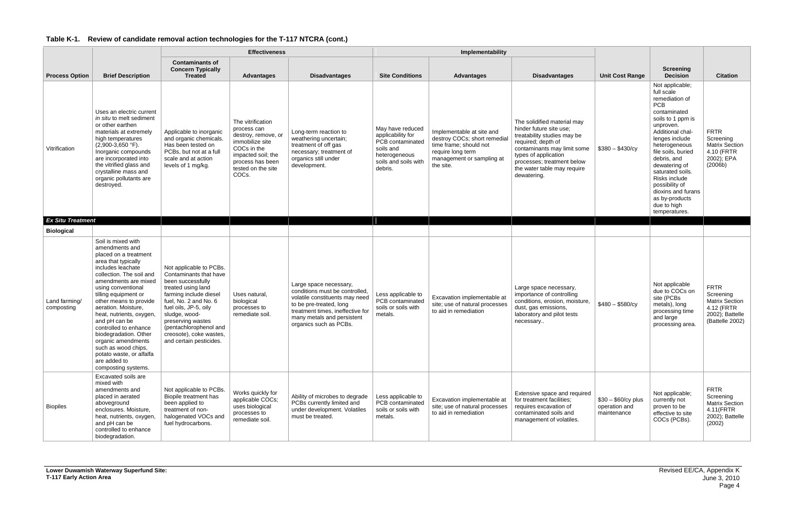|                             |                                                                                                                                                                                                                                                                                                                                                                                                                                                       | <b>Effectiveness</b>                                                                                                                                                                                                                                                                           |                                                                                                                                                                    |                                                                                                                                                                                                                   |                                                                                                                            | Implementability                                                                                                                                   |                                                                                                                                                                                                                                                |                                                     |                                                                                                                                                                                                                                                                                                                                                             |                                                                                                       |
|-----------------------------|-------------------------------------------------------------------------------------------------------------------------------------------------------------------------------------------------------------------------------------------------------------------------------------------------------------------------------------------------------------------------------------------------------------------------------------------------------|------------------------------------------------------------------------------------------------------------------------------------------------------------------------------------------------------------------------------------------------------------------------------------------------|--------------------------------------------------------------------------------------------------------------------------------------------------------------------|-------------------------------------------------------------------------------------------------------------------------------------------------------------------------------------------------------------------|----------------------------------------------------------------------------------------------------------------------------|----------------------------------------------------------------------------------------------------------------------------------------------------|------------------------------------------------------------------------------------------------------------------------------------------------------------------------------------------------------------------------------------------------|-----------------------------------------------------|-------------------------------------------------------------------------------------------------------------------------------------------------------------------------------------------------------------------------------------------------------------------------------------------------------------------------------------------------------------|-------------------------------------------------------------------------------------------------------|
| <b>Process Option</b>       | <b>Brief Description</b>                                                                                                                                                                                                                                                                                                                                                                                                                              | <b>Contaminants of</b><br><b>Concern Typically</b><br><b>Treated</b>                                                                                                                                                                                                                           | <b>Advantages</b>                                                                                                                                                  | <b>Disadvantages</b>                                                                                                                                                                                              | <b>Site Conditions</b>                                                                                                     | <b>Advantages</b>                                                                                                                                  | <b>Disadvantages</b>                                                                                                                                                                                                                           | <b>Unit Cost Range</b>                              | <b>Screening</b><br><b>Decision</b>                                                                                                                                                                                                                                                                                                                         | <b>Citation</b>                                                                                       |
| Vitrification               | Uses an electric current<br>in situ to melt sediment<br>or other earthen<br>materials at extremely<br>high temperatures<br>$(2,900-3,650 \degree F).$<br>Inorganic compounds<br>are incorporated into<br>the vitrified glass and<br>crystalline mass and<br>organic pollutants are<br>destroyed.                                                                                                                                                      | Applicable to inorganic<br>and organic chemicals.<br>Has been tested on<br>PCBs, but not at a full<br>scale and at action<br>levels of 1 mg/kg.                                                                                                                                                | The vitrification<br>process can<br>destroy, remove, or<br>immobilize site<br>COCs in the<br>impacted soil; the<br>process has been<br>tested on the site<br>COCs. | Long-term reaction to<br>weathering uncertain;<br>treatment of off gas<br>necessary; treatment of<br>organics still under<br>development.                                                                         | May have reduced<br>applicability for<br>PCB contaminated<br>soils and<br>heterogeneous<br>soils and soils with<br>debris. | Implementable at site and<br>destroy COCs; short remedial<br>time frame; should not<br>require long term<br>management or sampling at<br>the site. | The solidified material may<br>hinder future site use;<br>treatability studies may be<br>required; depth of<br>contaminants may limit some<br>types of application<br>processes; treatment below<br>the water table may require<br>dewatering. | $$380 - $430/cy$                                    | Not applicable;<br>full scale<br>remediation of<br><b>PCB</b><br>contaminated<br>soils to 1 ppm is<br>unproven.<br>Additional chal-<br>lenges include<br>heterogeneous<br>file soils, buried<br>debris, and<br>dewatering of<br>saturated soils.<br>Risks include<br>possibility of<br>dioxins and furans<br>as by-products<br>due to high<br>temperatures. | <b>FRTR</b><br>Screening<br><b>Matrix Section</b><br>4.10 (FRTR<br>2002); EPA<br>(2006b)              |
| <b>Ex Situ Treatment</b>    |                                                                                                                                                                                                                                                                                                                                                                                                                                                       |                                                                                                                                                                                                                                                                                                |                                                                                                                                                                    |                                                                                                                                                                                                                   |                                                                                                                            |                                                                                                                                                    |                                                                                                                                                                                                                                                |                                                     |                                                                                                                                                                                                                                                                                                                                                             |                                                                                                       |
| <b>Biological</b>           | Soil is mixed with                                                                                                                                                                                                                                                                                                                                                                                                                                    |                                                                                                                                                                                                                                                                                                |                                                                                                                                                                    |                                                                                                                                                                                                                   |                                                                                                                            |                                                                                                                                                    |                                                                                                                                                                                                                                                |                                                     |                                                                                                                                                                                                                                                                                                                                                             |                                                                                                       |
| Land farming/<br>composting | amendments and<br>placed on a treatment<br>area that typically<br>includes leachate<br>collection. The soil and<br>amendments are mixed<br>using conventional<br>tilling equipment or<br>other means to provide<br>aeration. Moisture,<br>heat, nutrients, oxygen,<br>and pH can be<br>controlled to enhance<br>biodegradation. Other<br>organic amendments<br>such as wood chips,<br>potato waste, or alfalfa<br>are added to<br>composting systems. | Not applicable to PCBs.<br>Contaminants that have<br>been successfully<br>treated using land<br>farming include diesel<br>fuel, No. 2 and No. 6<br>fuel oils, JP-5, oily<br>sludge, wood-<br>preserving wastes<br>(pentachlorophenol and<br>creosote), coke wastes,<br>and certain pesticides. | Uses natural,<br>biological<br>processes to<br>remediate soil.                                                                                                     | Large space necessary,<br>conditions must be controlled,<br>volatile constituents may need<br>to be pre-treated, long<br>treatment times, ineffective for<br>many metals and persistent<br>organics such as PCBs. | Less applicable to<br>PCB contaminated<br>soils or soils with<br>metals.                                                   | Excavation implementable at<br>site; use of natural processes<br>to aid in remediation                                                             | Large space necessary,<br>importance of controlling<br>conditions, erosion, moisture,<br>dust, gas emissions,<br>laboratory and pilot tests<br>necessary                                                                                       | $$480 - $580/cy$                                    | Not applicable<br>due to COCs on<br>site (PCBs<br>metals), long<br>processing time<br>and large<br>processing area.                                                                                                                                                                                                                                         | <b>FRTR</b><br>Screening<br><b>Matrix Section</b><br>4.12 (FRTR<br>2002); Battelle<br>(Battelle 2002) |
| <b>Biopiles</b>             | Excavated soils are<br>mixed with<br>amendments and<br>placed in aerated<br>aboveground<br>enclosures. Moisture,<br>heat, nutrients, oxygen,<br>and pH can be<br>controlled to enhance<br>biodegradation.                                                                                                                                                                                                                                             | Not applicable to PCBs.<br>Biopile treatment has<br>been applied to<br>treatment of non-<br>halogenated VOCs and<br>fuel hydrocarbons.                                                                                                                                                         | Works quickly for<br>applicable COCs;<br>uses biological<br>processes to<br>remediate soil.                                                                        | Ability of microbes to degrade<br>PCBs currently limited and<br>under development. Volatiles<br>must be treated.                                                                                                  | Less applicable to<br>PCB contaminated<br>soils or soils with<br>metals.                                                   | Excavation implementable at<br>site; use of natural processes<br>to aid in remediation                                                             | Extensive space and required<br>for treatment facilities;<br>requires excavation of<br>contaminated soils and<br>management of volatiles.                                                                                                      | $$30 - $60/cy$ plus<br>operation and<br>maintenance | Not applicable;<br>currently not<br>proven to be<br>effective to site<br>COCs (PCBs).                                                                                                                                                                                                                                                                       | <b>FRTR</b><br>Screening<br><b>Matrix Section</b><br>4.11(FRTR<br>2002); Battelle<br>(2002)           |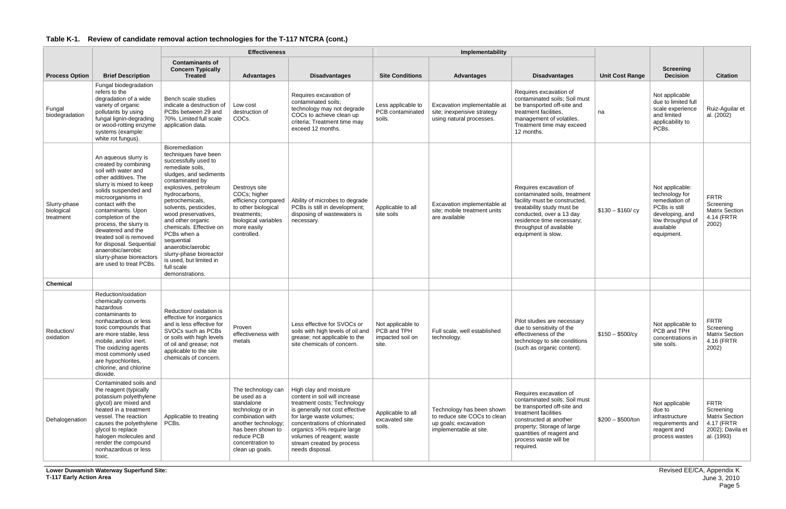**Lower Duwamish Waterway Superfund Site: T-117 Early Action Area**

|                                         |                                                                                                                                                                                                                                                                                                                                                                                                                      | <b>Effectiveness</b>                                                                                                                                                                                                                                                                                                                                                                                                                  |                                                                                                                                                                                           |                                                                                                                                                                                                                                                                                                   |                                                  | Implementability                                                                                            |                                                                                                                                                                                                                                           |                        |                                                                                                                                         |                                                                                                   |
|-----------------------------------------|----------------------------------------------------------------------------------------------------------------------------------------------------------------------------------------------------------------------------------------------------------------------------------------------------------------------------------------------------------------------------------------------------------------------|---------------------------------------------------------------------------------------------------------------------------------------------------------------------------------------------------------------------------------------------------------------------------------------------------------------------------------------------------------------------------------------------------------------------------------------|-------------------------------------------------------------------------------------------------------------------------------------------------------------------------------------------|---------------------------------------------------------------------------------------------------------------------------------------------------------------------------------------------------------------------------------------------------------------------------------------------------|--------------------------------------------------|-------------------------------------------------------------------------------------------------------------|-------------------------------------------------------------------------------------------------------------------------------------------------------------------------------------------------------------------------------------------|------------------------|-----------------------------------------------------------------------------------------------------------------------------------------|---------------------------------------------------------------------------------------------------|
| <b>Process Option</b>                   | <b>Brief Description</b>                                                                                                                                                                                                                                                                                                                                                                                             | <b>Contaminants of</b><br><b>Concern Typically</b><br><b>Treated</b>                                                                                                                                                                                                                                                                                                                                                                  | <b>Advantages</b>                                                                                                                                                                         | <b>Disadvantages</b>                                                                                                                                                                                                                                                                              | <b>Site Conditions</b>                           | <b>Advantages</b>                                                                                           | <b>Disadvantages</b>                                                                                                                                                                                                                      | <b>Unit Cost Range</b> | <b>Screening</b><br><b>Decision</b>                                                                                                     | <b>Citation</b>                                                                                   |
| Fungal<br>biodegradation                | Fungal biodegradation<br>refers to the<br>degradation of a wide<br>variety of organic<br>pollutants by using<br>fungal lignin-degrading<br>or wood-rotting enzyme<br>systems (example:<br>white rot fungus).                                                                                                                                                                                                         | Bench scale studies<br>indicate a destruction of<br>PCBs between 29 and<br>70%. Limited full scale<br>application data.                                                                                                                                                                                                                                                                                                               | Low cost<br>destruction of<br>COCs.                                                                                                                                                       | Requires excavation of<br>contaminated soils;<br>technology may not degrade<br>COCs to achieve clean up<br>criteria; Treatment time may<br>exceed 12 months.                                                                                                                                      | Less applicable to<br>PCB contaminated<br>soils. | Excavation implementable at<br>site; inexpensive strategy<br>using natural processes.                       | Requires excavation of<br>contaminated soils; Soil must<br>be transported off-site and<br>treatment facilities.<br>management of volatiles.<br>Treatment time may exceed<br>12 months.                                                    | na                     | Not applicable<br>due to limited full<br>scale experience<br>and limited<br>applicability to<br>PCBs.                                   | Ruiz-Aguilar et<br>al. (2002)                                                                     |
| Slurry-phase<br>biological<br>treatment | An aqueous slurry is<br>created by combining<br>soil with water and<br>other additives. The<br>slurry is mixed to keep<br>solids suspended and<br>microorganisms in<br>contact with the<br>contaminants. Upon<br>completion of the<br>process, the slurry is<br>dewatered and the<br>treated soil is removed<br>for disposal. Sequential<br>anaerobic/aerobic<br>slurry-phase bioreactors<br>are used to treat PCBs. | Bioremediation<br>techniques have been<br>successfully used to<br>remediate soils,<br>sludges, and sediments<br>contaminated by<br>explosives, petroleum<br>hydrocarbons,<br>petrochemicals,<br>solvents, pesticides,<br>wood preservatives,<br>and other organic<br>chemicals. Effective on<br>PCBs when a<br>sequential<br>anaerobic/aerobic<br>slurry-phase bioreactor<br>is used, but limited in<br>full scale<br>demonstrations. | Destroys site<br>COCs; higher<br>efficiency compared<br>to other biological<br>treatments;<br>biological variables<br>more easily<br>controlled.                                          | Ability of microbes to degrade<br>PCBs is still in development;<br>disposing of wastewaters is<br>necessary.                                                                                                                                                                                      | Applicable to all<br>site soils                  | Excavation implementable at<br>site; mobile treatment units<br>are available                                | Requires excavation of<br>contaminated soils, treatment<br>facility must be constructed,<br>treatability study must be<br>conducted, over a 13 day<br>residence time necessary;<br>throughput of available<br>equipment is slow.          | $$130 - $160$ / cy     | Not applicable:<br>technology for<br>remediation of<br>PCBs is still<br>developing, and<br>low throughput of<br>available<br>equipment. | <b>FRTR</b><br>Screening<br><b>Matrix Section</b><br>4.14 (FRTR<br>2002)                          |
| <b>Chemical</b>                         |                                                                                                                                                                                                                                                                                                                                                                                                                      |                                                                                                                                                                                                                                                                                                                                                                                                                                       |                                                                                                                                                                                           |                                                                                                                                                                                                                                                                                                   |                                                  |                                                                                                             |                                                                                                                                                                                                                                           |                        |                                                                                                                                         |                                                                                                   |
| Reduction/<br>oxidation                 | Reduction/oxidation<br>chemically converts<br>hazardous<br>contaminants to<br>nonhazardous or less<br>toxic compounds that<br>are more stable, less<br>mobile, and/or inert.<br>The oxidizing agents<br>most commonly used<br>are hypochlorites,<br>chlorine, and chlorine<br>dioxide.                                                                                                                               | Reduction/ oxidation is<br>effective for inorganics<br>and is less effective for<br>SVOCs such as PCBs<br>or soils with high levels<br>of oil and grease; not<br>applicable to the site<br>chemicals of concern.                                                                                                                                                                                                                      | Proven<br>effectiveness with<br>metals                                                                                                                                                    | Less effective for SVOCs or<br>soils with high levels of oil and   PCB and TPH<br>grease; not applicable to the<br>site chemicals of concern.                                                                                                                                                     | Not applicable to<br>impacted soil on<br>site.   | Full scale, well established<br>technology.                                                                 | Pilot studies are necessary<br>due to sensitivity of the<br>effectiveness of the<br>technology to site conditions<br>(such as organic content).                                                                                           | $$150 - $500/cy$       | Not applicable to<br>PCB and TPH<br>concentrations in<br>site soils.                                                                    | <b>FRTR</b><br>Screening<br><b>Matrix Section</b><br>4.16 (FRTR<br>2002)                          |
| Dehalogenation                          | Contaminated soils and<br>the reagent (typically<br>potassium polyethylene<br>glycol) are mixed and<br>heated in a treatment<br>vessel. The reaction<br>causes the polyethylene<br>glycol to replace<br>halogen molecules and<br>render the compound<br>nonhazardous or less<br>toxic.                                                                                                                               | Applicable to treating<br>PCBs.                                                                                                                                                                                                                                                                                                                                                                                                       | The technology can<br>be used as a<br>standalone<br>technology or in<br>combination with<br>another technology;<br>has been shown to<br>reduce PCB<br>concentration to<br>clean up goals. | High clay and moisture<br>content in soil will increase<br>treatment costs; Technology<br>is generally not cost effective<br>for large waste volumes;<br>concentrations of chlorinated<br>organics >5% require large<br>volumes of reagent; waste<br>stream created by process<br>needs disposal. | Applicable to all<br>excavated site<br>soils.    | Technology has been shown<br>to reduce site COCs to clean<br>up goals; excavation<br>implementable at site. | Requires excavation of<br>contaminated soils; Soil must<br>be transported off-site and<br>treatment facilities<br>constructed at another<br>property; Storage of large<br>quantities of reagent and<br>process waste will be<br>required. | $$200 - $500/$ ton     | Not applicable<br>due to<br>infrastructure<br>requirements and<br>reagent and<br>process wastes                                         | <b>FRTR</b><br>Screening<br><b>Matrix Section</b><br>4.17 (FRTR<br>2002); Davila et<br>al. (1993) |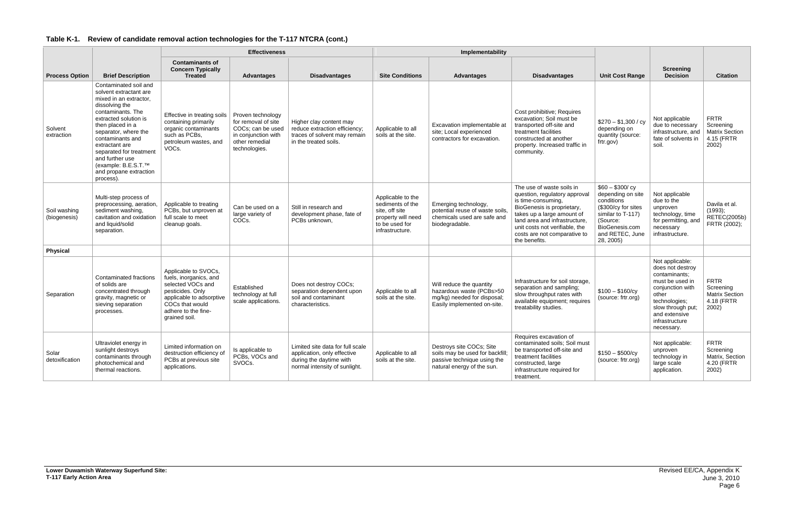|                              |                                                                                                                                                                                                                                                                                                                                         | <b>Effectiveness</b>                                                                                                                                                           |                                                                                                                         |                                                                                                                             |                                                                                                                    | Implementability                                                                                                         |                                                                                                                                                                                                                                                                  |                                                                                                                                                              |                                                                                                                                                                                             |                                                                           |
|------------------------------|-----------------------------------------------------------------------------------------------------------------------------------------------------------------------------------------------------------------------------------------------------------------------------------------------------------------------------------------|--------------------------------------------------------------------------------------------------------------------------------------------------------------------------------|-------------------------------------------------------------------------------------------------------------------------|-----------------------------------------------------------------------------------------------------------------------------|--------------------------------------------------------------------------------------------------------------------|--------------------------------------------------------------------------------------------------------------------------|------------------------------------------------------------------------------------------------------------------------------------------------------------------------------------------------------------------------------------------------------------------|--------------------------------------------------------------------------------------------------------------------------------------------------------------|---------------------------------------------------------------------------------------------------------------------------------------------------------------------------------------------|---------------------------------------------------------------------------|
| <b>Process Option</b>        | <b>Brief Description</b>                                                                                                                                                                                                                                                                                                                | <b>Contaminants of</b><br><b>Concern Typically</b><br><b>Treated</b>                                                                                                           | <b>Advantages</b>                                                                                                       | <b>Disadvantages</b>                                                                                                        | <b>Site Conditions</b>                                                                                             | <b>Advantages</b>                                                                                                        | <b>Disadvantages</b>                                                                                                                                                                                                                                             | <b>Unit Cost Range</b>                                                                                                                                       | <b>Screening</b><br><b>Decision</b>                                                                                                                                                         | <b>Citation</b>                                                           |
| Solvent<br>extraction        | Contaminated soil and<br>solvent extractant are<br>mixed in an extractor,<br>dissolving the<br>contaminants. The<br>extracted solution is<br>then placed in a<br>separator, where the<br>contaminants and<br>extractant are<br>separated for treatment<br>and further use<br>(example: B.E.S.T.™<br>and propane extraction<br>process). | Effective in treating soils<br>containing primarily<br>organic contaminants<br>such as PCBs,<br>petroleum wastes, and<br>VOCs.                                                 | Proven technology<br>for removal of site<br>COCs: can be used<br>in conjunction with<br>other remedial<br>technologies. | Higher clay content may<br>reduce extraction efficiency;<br>traces of solvent may remain<br>in the treated soils.           | Applicable to all<br>soils at the site.                                                                            | Excavation implementable at<br>site; Local experienced<br>contractors for excavation.                                    | Cost prohibitive; Requires<br>excavation; Soil must be<br>transported off-site and<br>treatment facilities<br>constructed at another<br>property. Increased traffic in<br>community.                                                                             | $$270 - $1,300 / cy$<br>depending on<br>quantity (source:<br>frtr.gov)                                                                                       | Not applicable<br>due to necessary<br>infrastructure, and<br>fate of solvents in<br>soil.                                                                                                   | <b>FRTR</b><br>Screening<br><b>Matrix Section</b><br>4.15 (FRTR<br>2002)  |
| Soil washing<br>(biogenesis) | Multi-step process of<br>preprocessing, aeration,<br>sediment washing,<br>cavitation and oxidation<br>and liquid/solid<br>separation.                                                                                                                                                                                                   | Applicable to treating<br>PCBs, but unproven at<br>full scale to meet<br>cleanup goals.                                                                                        | Can be used on a<br>large variety of<br>COC <sub>s</sub> .                                                              | Still in research and<br>development phase, fate of<br>PCBs unknown.                                                        | Applicable to the<br>sediments of the<br>site, off site<br>property will need<br>to be used for<br>infrastructure. | Emerging technology,<br>potential reuse of waste soils.<br>chemicals used are safe and<br>biodegradable.                 | The use of waste soils in<br>question, regulatory approval<br>is time-consuming,<br>BioGenesis is proprietary,<br>takes up a large amount of<br>land area and infrastructure.<br>unit costs not verifiable, the<br>costs are not comparative to<br>the benefits. | $$60 - $300/cy$<br>depending on site<br>conditions<br>(\$300/cy for sites<br>similar to T-117)<br>(Source:<br>BioGenesis.com<br>and RETEC, June<br>28, 2005) | Not applicable<br>due to the<br>unproven<br>technology, time<br>for permitting, and<br>necessary<br>infrastructure.                                                                         | Davila et al.<br>(1993);<br><b>RETEC(2005b)</b><br>FRTR (2002);           |
| <b>Physical</b>              |                                                                                                                                                                                                                                                                                                                                         |                                                                                                                                                                                |                                                                                                                         |                                                                                                                             |                                                                                                                    |                                                                                                                          |                                                                                                                                                                                                                                                                  |                                                                                                                                                              |                                                                                                                                                                                             |                                                                           |
| Separation                   | Contaminated fractions<br>of solids are<br>concentrated through<br>gravity, magnetic or<br>sieving separation<br>processes.                                                                                                                                                                                                             | Applicable to SVOCs,<br>fuels, inorganics, and<br>selected VOCs and<br>pesticides. Only<br>applicable to adsorptive<br>COCs that would<br>adhere to the fine-<br>grained soil. | Established<br>technology at full<br>scale applications.                                                                | Does not destroy COCs;<br>separation dependent upon<br>soil and contaminant<br>characteristics.                             | Applicable to all<br>soils at the site.                                                                            | Will reduce the quantity<br>hazardous waste (PCBs>50<br>mg/kg) needed for disposal;<br>Easily implemented on-site.       | Infrastructure for soil storage,<br>separation and sampling;<br>slow throughput rates with<br>available equipment; requires<br>treatability studies.                                                                                                             | $$100 - $160/cy$<br>(source: frtr.org)                                                                                                                       | Not applicable:<br>does not destroy<br>contaminants:<br>must be used in<br>conjunction with<br>other<br>technologies;<br>slow through put;<br>and extensive<br>infrastructure<br>necessary. | <b>FRTR</b><br>Screening<br><b>Matrix Section</b><br>4.18 (FRTR)<br>2002) |
| Solar<br>detoxification      | Ultraviolet energy in<br>sunlight destroys<br>contaminants through<br>photochemical and<br>thermal reactions.                                                                                                                                                                                                                           | Limited information on<br>destruction efficiency of<br>PCBs at previous site<br>applications.                                                                                  | Is applicable to<br>PCBs, VOCs and<br>SVOCs.                                                                            | Limited site data for full scale<br>application, only effective<br>during the daytime with<br>normal intensity of sunlight. | Applicable to all<br>soils at the site.                                                                            | Destroys site COCs; Site<br>soils may be used for backfill;<br>passive technique using the<br>natural energy of the sun. | Requires excavation of<br>contaminated soils; Soil must<br>be transported off-site and<br>treatment facilities<br>constructed, large<br>infrastructure required for<br>treatment.                                                                                | $$150 - $500/cy$<br>(source: frtr.org)                                                                                                                       | Not applicable:<br>unproven<br>technology in<br>large scale<br>application.                                                                                                                 | <b>FRTR</b><br>Screening<br>Matrix, Section<br>4.20 (FRTR<br>2002)        |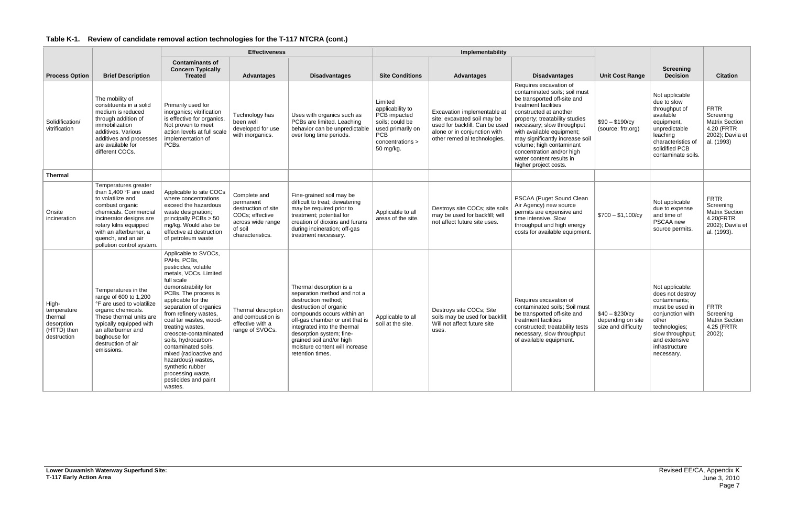|  | Table K-1. Review of candidate removal action technologies for the T-117 NTCRA (cont.) |  |
|--|----------------------------------------------------------------------------------------|--|
|--|----------------------------------------------------------------------------------------|--|

|                                                                             |                                                                                                                                                                                                                                                  |                                                                                                                                                                                                                                                                                                                                                                                                                                                                             | <b>Effectiveness</b>                                                                                                    |                                                                                                                                                                                                                                                                                                                       |                                                                                                                                    | Implementability                                                                                                                                             |                                                                                                                                                                                                                                                                                                                                                                                        |                                                             |                                                                                                                                                                                            |                                                                                                   |
|-----------------------------------------------------------------------------|--------------------------------------------------------------------------------------------------------------------------------------------------------------------------------------------------------------------------------------------------|-----------------------------------------------------------------------------------------------------------------------------------------------------------------------------------------------------------------------------------------------------------------------------------------------------------------------------------------------------------------------------------------------------------------------------------------------------------------------------|-------------------------------------------------------------------------------------------------------------------------|-----------------------------------------------------------------------------------------------------------------------------------------------------------------------------------------------------------------------------------------------------------------------------------------------------------------------|------------------------------------------------------------------------------------------------------------------------------------|--------------------------------------------------------------------------------------------------------------------------------------------------------------|----------------------------------------------------------------------------------------------------------------------------------------------------------------------------------------------------------------------------------------------------------------------------------------------------------------------------------------------------------------------------------------|-------------------------------------------------------------|--------------------------------------------------------------------------------------------------------------------------------------------------------------------------------------------|---------------------------------------------------------------------------------------------------|
| <b>Process Option</b>                                                       | <b>Brief Description</b>                                                                                                                                                                                                                         | <b>Contaminants of</b><br><b>Concern Typically</b><br><b>Treated</b>                                                                                                                                                                                                                                                                                                                                                                                                        | <b>Advantages</b>                                                                                                       | <b>Disadvantages</b>                                                                                                                                                                                                                                                                                                  | <b>Site Conditions</b>                                                                                                             | <b>Advantages</b>                                                                                                                                            | <b>Disadvantages</b>                                                                                                                                                                                                                                                                                                                                                                   | <b>Unit Cost Range</b>                                      | <b>Screening</b><br><b>Decision</b>                                                                                                                                                        | <b>Citation</b>                                                                                   |
| Solidification/<br>vitrification                                            | The mobility of<br>constituents in a solid<br>medium is reduced<br>through addition of<br>immobilization<br>additives. Various<br>additives and processes<br>are available for<br>different COCs.                                                | Primarily used for<br>inorganics; vitrification<br>is effective for organics<br>Not proven to meet<br>action levels at full scale<br>implementation of<br>PCBs.                                                                                                                                                                                                                                                                                                             | Technology has<br>been well<br>developed for use<br>with inorganics.                                                    | Uses with organics such as<br>PCBs are limited. Leaching<br>behavior can be unpredictable<br>over long time periods.                                                                                                                                                                                                  | Limited<br>applicability to<br>PCB impacted<br>soils; could be<br>used primarily on<br><b>PCB</b><br>concentrations ><br>50 mg/kg. | Excavation implementable at<br>site; excavated soil may be<br>used for backfill. Can be used<br>alone or in conjunction with<br>other remedial technologies. | Requires excavation of<br>contaminated soils; soil must<br>be transported off-site and<br>treatment facilities<br>constructed at another<br>property; treatability studies<br>necessary; slow throughput<br>with available equipment;<br>may significantly increase soil<br>volume; high contaminant<br>concentration and/or high<br>water content results in<br>higher project costs. | $$90 - $190/cy$<br>(source: frtr.org)                       | Not applicable<br>due to slow<br>throughput of<br>available<br>equipment,<br>unpredictable<br>leaching<br>characteristics of<br>solidified PCB<br>contaminate soils.                       | <b>FRTR</b><br>Screening<br><b>Matrix Section</b><br>4.20 (FRTR<br>2002); Davila et<br>al. (1993) |
| <b>Thermal</b>                                                              |                                                                                                                                                                                                                                                  |                                                                                                                                                                                                                                                                                                                                                                                                                                                                             |                                                                                                                         |                                                                                                                                                                                                                                                                                                                       |                                                                                                                                    |                                                                                                                                                              |                                                                                                                                                                                                                                                                                                                                                                                        |                                                             |                                                                                                                                                                                            |                                                                                                   |
| Onsite<br>incineration                                                      | Temperatures greater<br>than 1,400 °F are used<br>to volatilize and<br>combust organic<br>chemicals. Commercial<br>incinerator designs are<br>rotary kilns equipped<br>with an afterburner, a<br>quench, and an air<br>pollution control system. | Applicable to site COCs<br>where concentrations<br>exceed the hazardous<br>waste designation;<br>principally PCBs > 50<br>mg/kg. Would also be<br>effective at destruction<br>of petroleum waste                                                                                                                                                                                                                                                                            | Complete and<br>permanent<br>destruction of site<br>COCs; effective<br>across wide range<br>of soil<br>characteristics. | Fine-grained soil may be<br>difficult to treat; dewatering<br>may be required prior to<br>treatment; potential for<br>creation of dioxins and furans<br>during incineration; off-gas<br>treatment necessary.                                                                                                          | Applicable to all<br>areas of the site.                                                                                            | Destroys site COCs; site soils<br>may be used for backfill; will<br>not affect future site uses.                                                             | PSCAA (Puget Sound Clean<br>Air Agency) new source<br>permits are expensive and<br>time intensive. Slow<br>throughput and high energy<br>costs for available equipment.                                                                                                                                                                                                                | $$700 - $1,100/cy$                                          | Not applicable<br>due to expense<br>and time of<br>PSCAA new<br>source permits.                                                                                                            | <b>FRTR</b><br>Screening<br><b>Matrix Section</b><br>4.20(FRTR<br>2002); Davila et<br>al. (1993). |
| High-<br>temperature<br>thermal<br>desorption<br>(HTTD) then<br>destruction | Temperatures in the<br>range of 600 to 1,200<br>°F are used to volatilize<br>organic chemicals.<br>These thermal units are<br>typically equipped with<br>an afterburner and<br>baghouse for<br>destruction of air<br>emissions.                  | Applicable to SVOCs,<br>PAHs, PCBs,<br>pesticides, volatile<br>metals, VOCs. Limited<br>full scale<br>demonstrability for<br>PCBs. The process is<br>applicable for the<br>separation of organics<br>from refinery wastes,<br>coal tar wastes, wood-<br>treating wastes,<br>creosote-contaminated<br>soils, hydrocarbon-<br>contaminated soils,<br>mixed (radioactive and<br>hazardous) wastes,<br>synthetic rubber<br>processing waste,<br>pesticides and paint<br>wastes. | Thermal desorption<br>and combustion is<br>effective with a<br>range of SVOCs.                                          | Thermal desorption is a<br>separation method and not a<br>destruction method;<br>destruction of organic<br>compounds occurs within an<br>off-gas chamber or unit that is<br>integrated into the thermal<br>desorption system; fine-<br>grained soil and/or high<br>moisture content will increase<br>retention times. | Applicable to all<br>soil at the site.                                                                                             | Destroys site COCs; Site<br>soils may be used for backfill;<br>Will not affect future site<br>uses.                                                          | Requires excavation of<br>contaminated soils; Soil must<br>be transported off-site and<br>treatment facilities<br>constructed; treatability tests<br>necessary, slow throughput<br>of available equipment.                                                                                                                                                                             | $$40 - $230/cy$<br>depending on site<br>size and difficulty | Not applicable:<br>does not destroy<br>contaminants:<br>must be used in<br>conjunction with<br>other<br>technologies;<br>slow throughput;<br>and extensive<br>infrastructure<br>necessary. | <b>FRTR</b><br>Screening<br><b>Matrix Section</b><br>4.25 (FRTR<br>$2002$ );                      |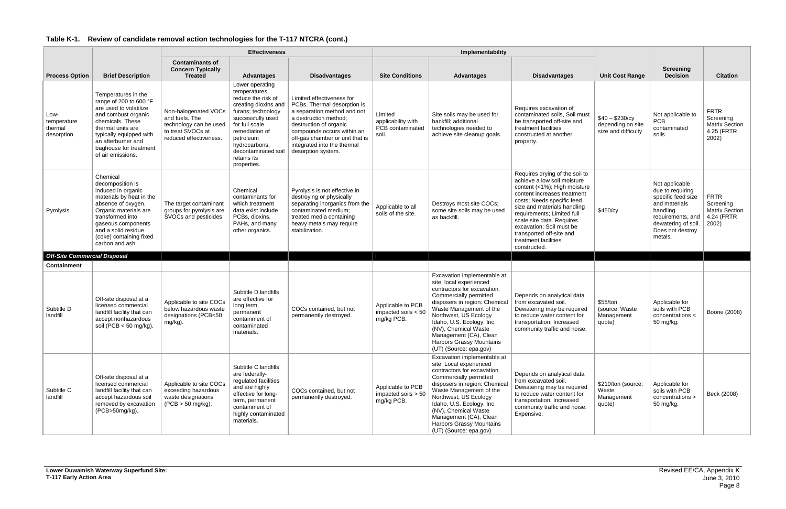|                                              |                                                                                                                                                                                                                                              |                                                                                                                 | <b>Effectiveness</b>                                                                                                                                                                                                                            |                                                                                                                                                                                                                                                                  |                                                            | Implementability                                                                                                                                                                                                                                                                                                                                 |                                                                                                                                                                                                                                                                                                                                                      |                                                             |                                                                                                                                                                  |                                                                          |
|----------------------------------------------|----------------------------------------------------------------------------------------------------------------------------------------------------------------------------------------------------------------------------------------------|-----------------------------------------------------------------------------------------------------------------|-------------------------------------------------------------------------------------------------------------------------------------------------------------------------------------------------------------------------------------------------|------------------------------------------------------------------------------------------------------------------------------------------------------------------------------------------------------------------------------------------------------------------|------------------------------------------------------------|--------------------------------------------------------------------------------------------------------------------------------------------------------------------------------------------------------------------------------------------------------------------------------------------------------------------------------------------------|------------------------------------------------------------------------------------------------------------------------------------------------------------------------------------------------------------------------------------------------------------------------------------------------------------------------------------------------------|-------------------------------------------------------------|------------------------------------------------------------------------------------------------------------------------------------------------------------------|--------------------------------------------------------------------------|
| <b>Process Option</b>                        | <b>Brief Description</b>                                                                                                                                                                                                                     | <b>Contaminants of</b><br><b>Concern Typically</b><br><b>Treated</b>                                            | <b>Advantages</b>                                                                                                                                                                                                                               | <b>Disadvantages</b>                                                                                                                                                                                                                                             | <b>Site Conditions</b>                                     | <b>Advantages</b>                                                                                                                                                                                                                                                                                                                                | <b>Disadvantages</b>                                                                                                                                                                                                                                                                                                                                 | <b>Unit Cost Range</b>                                      | <b>Screening</b><br><b>Decision</b>                                                                                                                              | <b>Citation</b>                                                          |
| Low-<br>temperature<br>thermal<br>desorption | Temperatures in the<br>range of 200 to 600 °F<br>are used to volatilize<br>and combust organic<br>chemicals. These<br>thermal units are<br>typically equipped with<br>an afterburner and<br>baghouse for treatment<br>of air emissions.      | Non-halogenated VOCs<br>and fuels. The<br>technology can be used<br>to treat SVOCs at<br>reduced effectiveness. | Lower operating<br>temperatures<br>reduce the risk of<br>creating dioxins and<br>furans; technology<br>successfully used<br>for full scale<br>remediation of<br>petroleum<br>hydrocarbons,<br>decontaminated soil<br>retains its<br>properties. | Limited effectiveness for<br>PCBs. Thermal desorption is<br>a separation method and not<br>a destruction method;<br>destruction of organic<br>compounds occurs within an<br>off-gas chamber or unit that is<br>integrated into the thermal<br>desorption system. | Limited<br>applicability with<br>PCB contaminated<br>soil. | Site soils may be used for<br>backfill; additional<br>technologies needed to<br>achieve site cleanup goals.                                                                                                                                                                                                                                      | Requires excavation of<br>contaminated soils, Soil must<br>be transported off-site and<br>treatment facilities<br>constructed at another<br>property.                                                                                                                                                                                                | $$40 - $230/cy$<br>depending on site<br>size and difficulty | Not applicable to<br><b>PCB</b><br>contaminated<br>soils.                                                                                                        | <b>FRTR</b><br>Screening<br><b>Matrix Section</b><br>4.25 (FRTR<br>2002) |
| Pyrolysis                                    | Chemical<br>decomposition is<br>induced in organic<br>materials by heat in the<br>absence of oxygen.<br>Organic materials are<br>transformed into<br>gaseous components<br>and a solid residue<br>(coke) containing fixed<br>carbon and ash. | The target contaminant<br>groups for pyrolysis are<br>SVOCs and pesticides                                      | Chemical<br>contaminants for<br>which treatment<br>data exist include<br>PCBs, dioxins,<br>PAHs, and many<br>other organics.                                                                                                                    | Pyrolysis is not effective in<br>destroying or physically<br>separating inorganics from the<br>contaminated medium;<br>treated media containing<br>heavy metals may require<br>stabilization.                                                                    | Applicable to all<br>soils of the site.                    | Destroys most site COCs;<br>some site soils may be used<br>as backfill.                                                                                                                                                                                                                                                                          | Requires drying of the soil to<br>achieve a low soil moisture<br>content (<1%); High moisture<br>content increases treatment<br>costs; Needs specific feed<br>size and materials handling<br>requirements; Limited full<br>scale site data. Requires<br>excavation; Soil must be<br>transported off-site and<br>treatment facilities<br>constructed. | \$450/cy                                                    | Not applicable<br>due to requiring<br>specific feed size<br>and materials<br>handling<br>requirements, and<br>dewatering of soil.<br>Does not destroy<br>metals. | <b>FRTR</b><br>Screening<br><b>Matrix Section</b><br>4.24 (FRTR<br>2002) |
| <b>Off-Site Commercial Disposal</b>          |                                                                                                                                                                                                                                              |                                                                                                                 |                                                                                                                                                                                                                                                 |                                                                                                                                                                                                                                                                  |                                                            |                                                                                                                                                                                                                                                                                                                                                  |                                                                                                                                                                                                                                                                                                                                                      |                                                             |                                                                                                                                                                  |                                                                          |
| <b>Containment</b>                           |                                                                                                                                                                                                                                              |                                                                                                                 |                                                                                                                                                                                                                                                 |                                                                                                                                                                                                                                                                  |                                                            |                                                                                                                                                                                                                                                                                                                                                  |                                                                                                                                                                                                                                                                                                                                                      |                                                             |                                                                                                                                                                  |                                                                          |
| Subtitle D<br>landfill                       | Off-site disposal at a<br>licensed commercial<br>landfill facility that can<br>accept nonhazardous<br>soil (PCB $<$ 50 mg/kg).                                                                                                               | Applicable to site COCs<br>below hazardous waste<br>designations (PCB<50<br>mg/kg).                             | Subtitle D landfills<br>are effective for<br>long term,<br>permanent<br>containment of<br>contaminated<br>materials.                                                                                                                            | COCs contained, but not<br>permanently destroyed.                                                                                                                                                                                                                | Applicable to PCB<br>impacted soils $< 50$<br>mg/kg PCB.   | Excavation implementable at<br>site; local experienced<br>contractors for excavation.<br>Commercially permitted<br>disposers in region: Chemical<br>Waste Management of the<br>Northwest, US Ecology<br>Idaho, U.S. Ecology, Inc.<br>(NV), Chemical Waste<br>Management (CA), Clean<br>Harbors Grassy Mountains<br>(UT) (Source: epa.gov)        | Depends on analytical data<br>from excavated soil.<br>Dewatering may be required<br>to reduce water content for<br>transportation. Increased<br>community traffic and noise.                                                                                                                                                                         | \$55/ton<br>(source: Waste<br>Management<br>quote)          | Applicable for<br>soils with PCB<br>concentrations <<br>50 mg/kg.                                                                                                | Boone (2008)                                                             |
| Subtitle C<br>landfill                       | Off-site disposal at a<br>licensed commercial<br>landfill facility that can<br>accept hazardous soil<br>removed by excavation<br>(PCB>50mg/kg).                                                                                              | Applicable to site COCs<br>exceeding hazardous<br>waste designations<br>$(PCB > 50$ mg/kg).                     | Subtitle C landfills<br>are federally-<br>regulated facilities<br>and are highly<br>effective for long-<br>term, permanent<br>containment of<br>highly contaminated<br>materials.                                                               | COCs contained, but not<br>permanently destroyed.                                                                                                                                                                                                                | Applicable to PCB<br>impacted soils > 50<br>mg/kg PCB.     | Excavation implementable at<br>site; Local experienced<br>contractors for excavation.<br>Commercially permitted<br>disposers in region: Chemical<br>Waste Management of the<br>Northwest, US Ecology<br>Idaho, U.S. Ecology, Inc.<br>(NV), Chemical Waste<br>Management (CA), Clean<br><b>Harbors Grassy Mountains</b><br>(UT) (Source: epa.gov) | Depends on analytical data<br>from excavated soil.<br>Dewatering may be required<br>to reduce water content for<br>transportation. Increased<br>community traffic and noise.<br>Expensive.                                                                                                                                                           | \$210/ton (source:<br>Waste<br>Management<br>quote)         | Applicable for<br>soils with PCB<br>concentrations ><br>50 mg/kg.                                                                                                | Beck (2008)                                                              |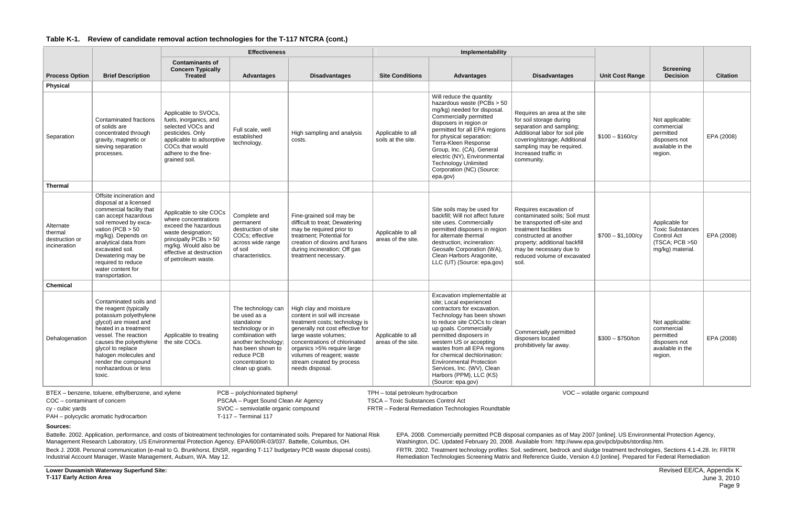|                                                        |                                                                                                                                                                                                                                                                                                           | <b>Effectiveness</b>                                                                                                                                                                                |                                                                                                                                                                                           |                                                                                                                                                                                                                                                                                                   | Implementability                                                                                                                                                  |                                                                                                                                                                                                                                                                                                                                                                                                                   |                                                                                                                                                                                                                                              |                        |                                                                                                |                 |
|--------------------------------------------------------|-----------------------------------------------------------------------------------------------------------------------------------------------------------------------------------------------------------------------------------------------------------------------------------------------------------|-----------------------------------------------------------------------------------------------------------------------------------------------------------------------------------------------------|-------------------------------------------------------------------------------------------------------------------------------------------------------------------------------------------|---------------------------------------------------------------------------------------------------------------------------------------------------------------------------------------------------------------------------------------------------------------------------------------------------|-------------------------------------------------------------------------------------------------------------------------------------------------------------------|-------------------------------------------------------------------------------------------------------------------------------------------------------------------------------------------------------------------------------------------------------------------------------------------------------------------------------------------------------------------------------------------------------------------|----------------------------------------------------------------------------------------------------------------------------------------------------------------------------------------------------------------------------------------------|------------------------|------------------------------------------------------------------------------------------------|-----------------|
| <b>Process Option</b>                                  | <b>Brief Description</b>                                                                                                                                                                                                                                                                                  | <b>Contaminants of</b><br><b>Concern Typically</b><br><b>Treated</b>                                                                                                                                | <b>Advantages</b>                                                                                                                                                                         | <b>Disadvantages</b>                                                                                                                                                                                                                                                                              | <b>Site Conditions</b>                                                                                                                                            | <b>Advantages</b>                                                                                                                                                                                                                                                                                                                                                                                                 | <b>Disadvantages</b>                                                                                                                                                                                                                         | <b>Unit Cost Range</b> | <b>Screening</b><br><b>Decision</b>                                                            | <b>Citation</b> |
| Physical                                               |                                                                                                                                                                                                                                                                                                           |                                                                                                                                                                                                     |                                                                                                                                                                                           |                                                                                                                                                                                                                                                                                                   |                                                                                                                                                                   |                                                                                                                                                                                                                                                                                                                                                                                                                   |                                                                                                                                                                                                                                              |                        |                                                                                                |                 |
| Separation                                             | Contaminated fractions<br>of solids are<br>concentrated through<br>gravity, magnetic or<br>sieving separation<br>processes.                                                                                                                                                                               | Applicable to SVOCs,<br>fuels, inorganics, and<br>selected VOCs and<br>pesticides. Only<br>applicable to adsorptive<br>COCs that would<br>adhere to the fine-<br>grained soil.                      | Full scale, well<br>established<br>technology.                                                                                                                                            | High sampling and analysis<br>costs.                                                                                                                                                                                                                                                              | Applicable to all<br>soils at the site.                                                                                                                           | Will reduce the quantity<br>hazardous waste (PCBs > 50<br>mg/kg) needed for disposal.<br>Commercially permitted<br>disposers in region or<br>permitted for all EPA regions<br>for physical separation:<br>Terra-Kleen Response<br>Group, Inc. (CA), General<br>electric (NY), Environmental<br><b>Technology Unlimited</b><br>Corporation (NC) (Source:<br>epa.gov)                                               | Requires an area at the site<br>for soil storage during<br>separation and sampling;<br>Additional labor for soil pile<br>covering/storage; Additional<br>sampling may be required.<br>Increased traffic in<br>community.                     | $$100 - $160/cy$       | Not applicable:<br>commercial<br>permitted<br>disposers not<br>available in the<br>region.     | EPA (2008)      |
| <b>Thermal</b>                                         |                                                                                                                                                                                                                                                                                                           |                                                                                                                                                                                                     |                                                                                                                                                                                           |                                                                                                                                                                                                                                                                                                   |                                                                                                                                                                   |                                                                                                                                                                                                                                                                                                                                                                                                                   |                                                                                                                                                                                                                                              |                        |                                                                                                |                 |
| Alternate<br>thermal<br>destruction or<br>incineration | Offsite incineration and<br>disposal at a licensed<br>commercial facility that<br>can accept hazardous<br>soil removed by exca-<br>vation (PCB $> 50$<br>mg/kg). Depends on<br>analytical data from<br>excavated soil.<br>Dewatering may be<br>required to reduce<br>water content for<br>transportation. | Applicable to site COCs<br>where concentrations<br>exceed the hazardous<br>waste designation;<br>principally $PCBs > 50$<br>mg/kg. Would also be<br>effective at destruction<br>of petroleum waste. | Complete and<br>permanent<br>destruction of site<br>COCs; effective<br>across wide range<br>of soil<br>characteristics.                                                                   | Fine-grained soil may be<br>difficult to treat; Dewatering<br>may be required prior to<br>treatment; Potential for<br>creation of dioxins and furans<br>during incineration; Off gas<br>treatment necessary.                                                                                      | Applicable to all<br>areas of the site.                                                                                                                           | Site soils may be used for<br>backfill; Will not affect future<br>site uses. Commercially<br>permitted disposers in region<br>for alternate thermal<br>destruction, incineration:<br>Geosafe Corporation (WA),<br>Clean Harbors Aragonite,<br>LLC (UT) (Source: epa.gov)                                                                                                                                          | Requires excavation of<br>contaminated soils; Soil must<br>be transported off-site and<br>treatment facilities<br>constructed at another<br>property; additional backfill<br>may be necessary due to<br>reduced volume of excavated<br>soil. | $$700 - $1,100/cy$     | Applicable for<br><b>Toxic Substances</b><br>Control Act<br>(TSCA; PCB >50<br>mg/kg) material. | EPA (2008)      |
| <b>Chemical</b>                                        |                                                                                                                                                                                                                                                                                                           |                                                                                                                                                                                                     |                                                                                                                                                                                           |                                                                                                                                                                                                                                                                                                   |                                                                                                                                                                   |                                                                                                                                                                                                                                                                                                                                                                                                                   |                                                                                                                                                                                                                                              |                        |                                                                                                |                 |
| Dehalogenation                                         | Contaminated soils and<br>the reagent (typically<br>potassium polyethylene<br>glycol) are mixed and<br>heated in a treatment<br>vessel. The reaction<br>causes the polyethylene<br>glycol to replace<br>halogen molecules and<br>render the compound<br>nonhazardous or less<br>toxic.                    | Applicable to treating<br>the site COCs.                                                                                                                                                            | The technology can<br>be used as a<br>standalone<br>technology or in<br>combination with<br>another technology;<br>has been shown to<br>reduce PCB<br>concentration to<br>clean up goals. | High clay and moisture<br>content in soil will increase<br>treatment costs; technology is<br>generally not cost effective for<br>large waste volumes;<br>concentrations of chlorinated<br>organics >5% require large<br>volumes of reagent; waste<br>stream created by process<br>needs disposal. | Applicable to all<br>areas of the site.                                                                                                                           | Excavation implementable at<br>site; Local experienced<br>contractors for excavation.<br>Technology has been shown<br>to reduce site COCs to clean<br>up goals. Commercially<br>permitted disposers in<br>western US or accepting<br>wastes from all EPA regions<br>for chemical dechlorination:<br><b>Environmental Protection</b><br>Services, Inc. (WV), Clean<br>Harbors (PPM), LLC (KS)<br>(Source: epa.gov) | Commercially permitted<br>disposers located<br>prohibitively far away.                                                                                                                                                                       | $$300 - $750/ton$      | Not applicable:<br>commercial<br>permitted<br>disposers not<br>available in the<br>region.     | EPA (2008)      |
| COC - contaminant of concern<br>cy - cubic yards       | BTEX - benzene, toluene, ethylbenzene, and xylene<br>PAH - polycyclic aromatic hydrocarbon                                                                                                                                                                                                                |                                                                                                                                                                                                     | PCB - polychlorinated biphenyl<br>PSCAA - Puget Sound Clean Air Agency<br>SVOC - semivolatile organic compound<br>T-117 - Terminal 117                                                    |                                                                                                                                                                                                                                                                                                   | VOC - volatile organic compound<br>TPH - total petroleum hydrocarbon<br>TSCA - Toxic Substances Control Act<br>FRTR - Federal Remediation Technologies Roundtable |                                                                                                                                                                                                                                                                                                                                                                                                                   |                                                                                                                                                                                                                                              |                        |                                                                                                |                 |

**Sources:**

Battelle. 2002. Application, performance, and costs of biotreatment technologies for contaminated soils. Prepared for National Risk Management Research Laboratory, US Environmental Protection Agency. EPA/600/R-03/037. Battelle, Columbus, OH.

Beck J. 2008. Personal communication (e-mail to G. Brunkhorst, ENSR, regarding T-117 budgetary PCB waste disposal costs). Industrial Account Manager, Waste Management, Auburn, WA. May 12.

EPA. 2008. Commercially permitted PCB disposal companies as of May 2007 [online]. US Environmental Protection Agency, Washington, DC. Updated February 20, 2008. Available from: http://www.epa.gov/pcb/pubs/stordisp.htm.

FRTR. 2002. Treatment technology profiles: Soil, sediment, bedrock and sludge treatment technologies, Sections 4.1-4.28. In: FRTR Remediation Technologies Screening Matrix and Reference Guide, Version 4.0 [online]. Prepared for Federal Remediation